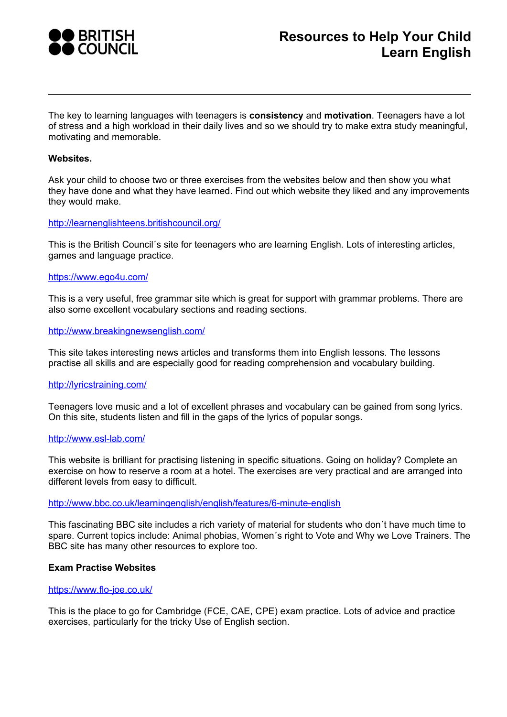

The key to learning languages with teenagers is **consistency** and **motivation**. Teenagers have a lot of stress and a high workload in their daily lives and so we should try to make extra study meaningful, motivating and memorable.

# **Websites.**

Ask your child to choose two or three exercises from the websites below and then show you what they have done and what they have learned. Find out which website they liked and any improvements they would make.

# <http://learnenglishteens.britishcouncil.org/>

This is the British Council´s site for teenagers who are learning English. Lots of interesting articles, games and language practice.

#### <https://www.ego4u.com/>

This is a very useful, free grammar site which is great for support with grammar problems. There are also some excellent vocabulary sections and reading sections.

# <http://www.breakingnewsenglish.com/>

This site takes interesting news articles and transforms them into English lessons. The lessons practise all skills and are especially good for reading comprehension and vocabulary building.

# <http://lyricstraining.com/>

Teenagers love music and a lot of excellent phrases and vocabulary can be gained from song lyrics. On this site, students listen and fill in the gaps of the lyrics of popular songs.

# <http://www.esl-lab.com/>

This website is brilliant for practising listening in specific situations. Going on holiday? Complete an exercise on how to reserve a room at a hotel. The exercises are very practical and are arranged into different levels from easy to difficult.

#### <http://www.bbc.co.uk/learningenglish/english/features/6-minute-english>

This fascinating BBC site includes a rich variety of material for students who don´t have much time to spare. Current topics include: Animal phobias, Women´s right to Vote and Why we Love Trainers. The BBC site has many other resources to explore too.

## **Exam Practise Websites**

#### <https://www.flo-joe.co.uk/>

This is the place to go for Cambridge (FCE, CAE, CPE) exam practice. Lots of advice and practice exercises, particularly for the tricky Use of English section.